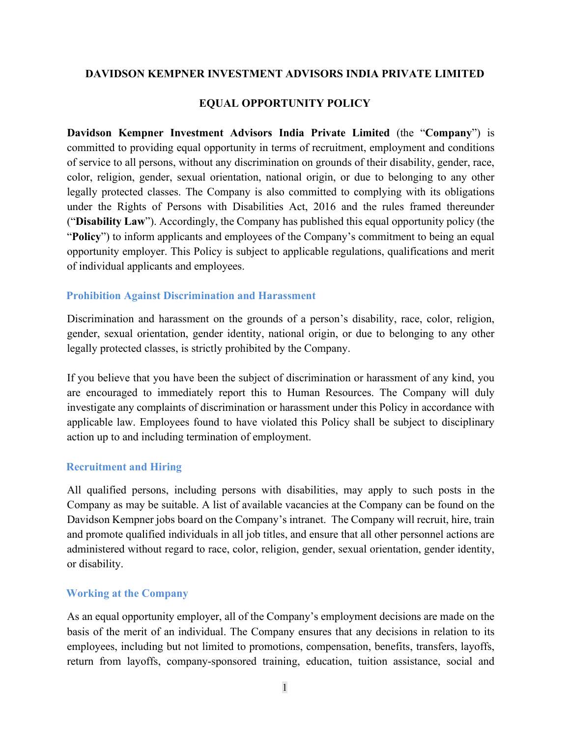## **DAVIDSON KEMPNER INVESTMENT ADVISORS INDIA PRIVATE LIMITED**

## **EQUAL OPPORTUNITY POLICY**

**Davidson Kempner Investment Advisors India Private Limited** (the "**Company**") is committed to providing equal opportunity in terms of recruitment, employment and conditions of service to all persons, without any discrimination on grounds of their disability, gender, race, color, religion, gender, sexual orientation, national origin, or due to belonging to any other legally protected classes. The Company is also committed to complying with its obligations under the Rights of Persons with Disabilities Act, 2016 and the rules framed thereunder ("**Disability Law**"). Accordingly, the Company has published this equal opportunity policy (the "**Policy**") to inform applicants and employees of the Company's commitment to being an equal opportunity employer. This Policy is subject to applicable regulations, qualifications and merit of individual applicants and employees.

#### **Prohibition Against Discrimination and Harassment**

Discrimination and harassment on the grounds of a person's disability, race, color, religion, gender, sexual orientation, gender identity, national origin, or due to belonging to any other legally protected classes, is strictly prohibited by the Company.

If you believe that you have been the subject of discrimination or harassment of any kind, you are encouraged to immediately report this to Human Resources. The Company will duly investigate any complaints of discrimination or harassment under this Policy in accordance with applicable law. Employees found to have violated this Policy shall be subject to disciplinary action up to and including termination of employment.

#### **Recruitment and Hiring**

All qualified persons, including persons with disabilities, may apply to such posts in the Company as may be suitable. A list of available vacancies at the Company can be found on the Davidson Kempner jobs board on the Company's intranet. The Company will recruit, hire, train and promote qualified individuals in all job titles, and ensure that all other personnel actions are administered without regard to race, color, religion, gender, sexual orientation, gender identity, or disability.

#### **Working at the Company**

As an equal opportunity employer, all of the Company's employment decisions are made on the basis of the merit of an individual. The Company ensures that any decisions in relation to its employees, including but not limited to promotions, compensation, benefits, transfers, layoffs, return from layoffs, company-sponsored training, education, tuition assistance, social and